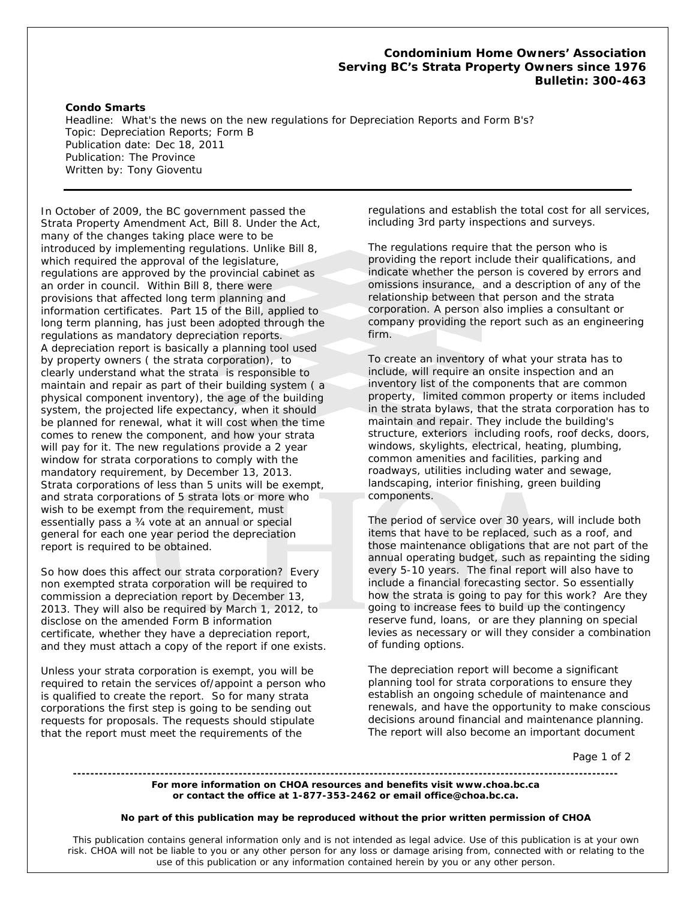## **Condominium Home Owners' Association**  *Serving BC's Strata Property Owners since 1976*  **Bulletin: 300-463**

## **Condo Smarts**

Headline: What's the news on the new regulations for Depreciation Reports and Form B's? Topic: Depreciation Reports; Form B Publication date: Dec 18, 2011 Publication: The Province Written by: Tony Gioventu

In October of 2009, the BC government passed the Strata Property Amendment Act, Bill 8. Under the Act, many of the changes taking place were to be introduced by implementing regulations. Unlike Bill 8, which required the approval of the legislature, regulations are approved by the provincial cabinet as an order in council. Within Bill 8, there were provisions that affected long term planning and information certificates. Part 15 of the Bill, applied to long term planning, has just been adopted through the regulations as mandatory depreciation reports. A depreciation report is basically a planning tool used by property owners ( the strata corporation), to clearly understand what the strata is responsible to maintain and repair as part of their building system ( a physical component inventory), the age of the building system, the projected life expectancy, when it should be planned for renewal, what it will cost when the time comes to renew the component, and how your strata will pay for it. The new regulations provide a 2 year window for strata corporations to comply with the mandatory requirement, by December 13, 2013. Strata corporations of less than 5 units will be exempt, and strata corporations of 5 strata lots or more who wish to be exempt from the requirement, must essentially pass a ¾ vote at an annual or special general for each one year period the depreciation report is required to be obtained.

So how does this affect our strata corporation? Every non exempted strata corporation will be required to commission a depreciation report by December 13, 2013. They will also be required by March 1, 2012, to disclose on the amended Form B information certificate, whether they have a depreciation report, and they must attach a copy of the report if one exists.

Unless your strata corporation is exempt, you will be required to retain the services of/appoint a person who is qualified to create the report. So for many strata corporations the first step is going to be sending out requests for proposals. The requests should stipulate that the report must meet the requirements of the

regulations and establish the total cost for all services, including 3rd party inspections and surveys.

The regulations require that the person who is providing the report include their qualifications, and indicate whether the person is covered by errors and omissions insurance, and a description of any of the relationship between that person and the strata corporation. A person also implies a consultant or company providing the report such as an engineering firm.

To create an inventory of what your strata has to include, will require an onsite inspection and an inventory list of the components that are common property, limited common property or items included in the strata bylaws, that the strata corporation has to maintain and repair. They include the building's structure, exteriors including roofs, roof decks, doors, windows, skylights, electrical, heating, plumbing, common amenities and facilities, parking and roadways, utilities including water and sewage, landscaping, interior finishing, green building components.

The period of service over 30 years, will include both items that have to be replaced, such as a roof, and those maintenance obligations that are not part of the annual operating budget, such as repainting the siding every 5-10 years. The final report will also have to include a financial forecasting sector. So essentially how the strata is going to pay for this work? Are they going to increase fees to build up the contingency reserve fund, loans, or are they planning on special levies as necessary or will they consider a combination of funding options.

The depreciation report will become a significant planning tool for strata corporations to ensure they establish an ongoing schedule of maintenance and renewals, and have the opportunity to make conscious decisions around financial and maintenance planning. The report will also become an important document

Page 1 of 2

**For more information on CHOA resources and benefits visit www.choa.bc.ca or contact the office at 1-877-353-2462 or email office@choa.bc.ca.** 

## **No part of this publication may be reproduced without the prior written permission of CHOA**

**-----------------------------------------------------------------------------------------------------------------------------**

This publication contains general information only and is not intended as legal advice. Use of this publication is at your own risk. CHOA will not be liable to you or any other person for any loss or damage arising from, connected with or relating to the use of this publication or any information contained herein by you or any other person.